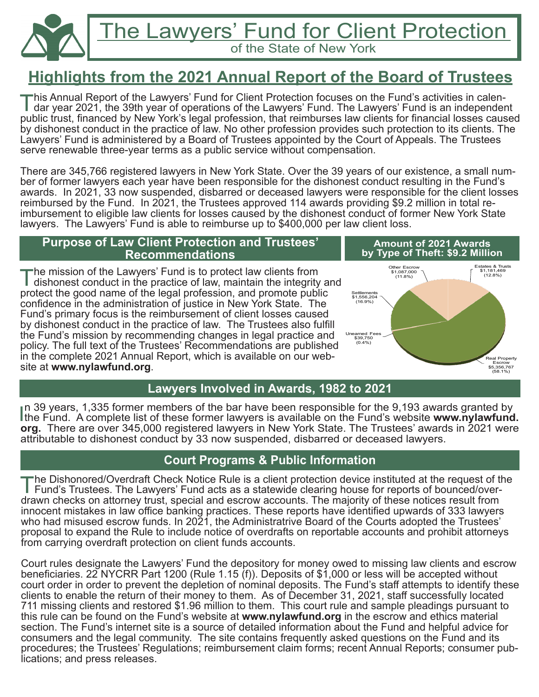The Lawyers' Fund for Client Protection

of the State of New York

# **Highlights from the 2021 Annual Report of the Board of Trustees**

This Annual Report of the Lawyers' Fund for Client Protection focuses on the Fund's activities in calen-<br>dar year 2021, the 39th year of operations of the Lawyers' Fund. The Lawyers' Fund is an independent public trust, financed by New York's legal profession, that reimburses law clients for financial losses caused by dishonest conduct in the practice of law. No other profession provides such protection to its clients. The Lawyers' Fund is administered by a Board of Trustees appointed by the Court of Appeals. The Trustees serve renewable three-year terms as a public service without compensation.

There are 345,766 registered lawyers in New York State. Over the 39 years of our existence, a small number of former lawyers each year have been responsible for the dishonest conduct resulting in the Fund's awards. In 2021, 33 now suspended, disbarred or deceased lawyers were responsible for the client losses reimbursed by the Fund. In 2021, the Trustees approved 114 awards providing \$9.2 million in total reimbursement to eligible law clients for losses caused by the dishonest conduct of former New York State lawyers. The Lawyers' Fund is able to reimburse up to \$400,000 per law client loss.

#### **Purpose of Law Client Protection and Trustees' Recommendations**

The mission of the Lawyers' Fund is to protect law clients from<br>dishonest conduct in the practice of law, maintain the integrity and<br>we dish the modulation of the land and conduction and modulation within protect the good name of the legal profession, and promote public confidence in the administration of justice in New York State. The Fund's primary focus is the reimbursement of client losses caused by dishonest conduct in the practice of law. The Trustees also fulfill the Fund's mission by recommending changes in legal practice and policy. The full text of the Trustees' Recommendations are published in the complete 2021 Annual Report, which is available on our web- site at **www.nylawfund.org**.



# **Lawyers Involved in Awards, 1982 to 2021**

In 39 years, 1,335 former members of the bar have been responsible for the 9,193 awards granted by<br>The Fund. A complete list of these former lawyers is available on the Fund's website **www.nylawfund.** n 39 years, 1,335 former members of the bar have been responsible for the 9,193 awards granted by **org.** There are over 345,000 registered lawyers in New York State. The Trustees' awards in 2021 were attributable to dishonest conduct by 33 now suspended, disbarred or deceased lawyers.

# **Court Programs & Public Information**

The Dishonored/Overdraft Check Notice Rule is a client protection device instituted at the request of the drawn checks on attorney trust, special and escrow accounts. The majority of these notices result from innocent mistakes in law office banking practices. These reports have identified upwards of 333 lawyers who had misused escrow funds. In 2021, the Administratrive Board of the Courts adopted the Trustees' proposal to expand the Rule to include notice of overdrafts on reportable accounts and prohibit attorneys from carrying overdraft protection on client funds accounts.

Court rules designate the Lawyers' Fund the depository for money owed to missing law clients and escrow beneficiaries. 22 NYCRR Part 1200 (Rule 1.15 (f)). Deposits of \$1,000 or less will be accepted without court order in order to prevent the depletion of nominal deposits. The Fund's staff attempts to identify these clients to enable the return of their money to them. As of December 31, 2021, staff successfully located 711 missing clients and restored \$1.96 million to them. This court rule and sample pleadings pursuant to this rule can be found on the Fund's website at **www.nylawfund.org** in the escrow and ethics material section. The Fund's internet site is a source of detailed information about the Fund and helpful advice for consumers and the legal community. The site contains frequently asked questions on the Fund and its procedures; the Trustees' Regulations; reimbursement claim forms; recent Annual Reports; consumer publications; and press releases.